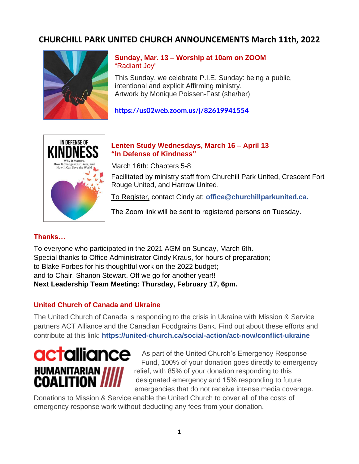## **CHURCHILL PARK UNITED CHURCH ANNOUNCEMENTS March 11th, 2022**



**Sunday, Mar. 13 – Worship at 10am on ZOOM** "Radiant Joy"

This Sunday, we celebrate P.I.E. Sunday: being a public, intentional and explicit Affirming ministry. Artwork by Monique Poissen-Fast (she/her)

**<https://us02web.zoom.us/j/82619941554>**



## **Lenten Study Wednesdays, March 16 – April 13 "In Defense of Kindness"**

March 16th: Chapters 5-8

Facilitated by ministry staff from Churchill Park United, Crescent Fort Rouge United, and Harrow United.

To Register, contact Cindy at: **office@churchillparkunited.ca.**

The Zoom link will be sent to registered persons on Tuesday.

## **Thanks…**

To everyone who participated in the 2021 AGM on Sunday, March 6th. Special thanks to Office Administrator Cindy Kraus, for hours of preparation; to Blake Forbes for his thoughtful work on the 2022 budget; and to Chair, Shanon Stewart. Off we go for another year!! **Next Leadership Team Meeting: Thursday, February 17, 6pm.**

## **United Church of Canada and Ukraine**

The United Church of Canada is responding to the crisis in Ukraine with Mission & Service partners ACT Alliance and the Canadian Foodgrains Bank. Find out about these efforts and contribute at this link: **https://united-church.ca/social-action/act-now/conflict-ukraine**



As part of the United Church's Emergency Response Fund, 100% of your donation goes directly to emergency relief, with 85% of your donation responding to this designated emergency and 15% responding to future emergencies that do not receive intense media coverage.

Donations to Mission & Service enable the United Church to cover all of the costs of emergency response work without deducting any fees from your donation.